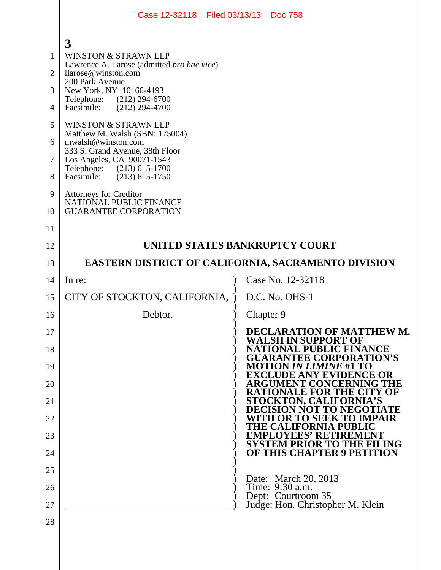|                | Case 12-32118 Filed 03/13/13 Doc 758                              |           |                                                                     |
|----------------|-------------------------------------------------------------------|-----------|---------------------------------------------------------------------|
|                |                                                                   |           |                                                                     |
| $\mathbf{1}$   | 3<br><b>WINSTON &amp; STRAWN LLP</b>                              |           |                                                                     |
| $\overline{2}$ | Lawrence A. Larose (admitted pro hac vice)<br>llarose@winston.com |           |                                                                     |
| 3              | 200 Park Avenue<br>New York, NY 10166-4193                        |           |                                                                     |
| 4              | Telephone: (212) 294-6700<br>$(212)$ 294-4700<br>Facsimile:       |           |                                                                     |
| 5              | WINSTON & STRAWN LLP                                              |           |                                                                     |
| 6              | Matthew M. Walsh (SBN: 175004)<br>mwalsh@winston.com              |           |                                                                     |
| $\overline{7}$ | 333 S. Grand Avenue, 38th Floor<br>Los Angeles, CA 90071-1543     |           |                                                                     |
| 8              | Telephone: (213) 615-1700<br>$(213)$ 615-1750<br>Facsimile:       |           |                                                                     |
| 9              | Attorneys for Creditor<br>NATIONAL PUBLIC FINANCE                 |           |                                                                     |
| 10             | <b>GUARANTEE CORPORATION</b>                                      |           |                                                                     |
| 11             |                                                                   |           |                                                                     |
| 12             | UNITED STATES BANKRUPTCY COURT                                    |           |                                                                     |
| 13             | <b>EASTERN DISTRICT OF CALIFORNIA, SACRAMENTO DIVISION</b>        |           |                                                                     |
| 14             | In re:                                                            |           | Case No. 12-32118                                                   |
| 15             | CITY OF STOCKTON, CALIFORNIA,                                     |           | D.C. No. OHS-1                                                      |
| 16             | Debtor.                                                           | Chapter 9 |                                                                     |
| 17             |                                                                   |           | DECLARATION OF MATTHEW M.<br><b>WALSH IN SUPPORT OF</b>             |
| 18             |                                                                   |           | 'ATIONAL PUBLIC FINANCE<br><b>TEE CORPORATION'S</b>                 |
| 19             |                                                                   |           | <i>IN LIMINE #</i> 1 TO<br>VIDENCE OR<br>E A<br>Y E                 |
| 20             |                                                                   |           | <b>NT CONCERNING THE</b><br>RGUME<br><b>TIONALE FOR THE CITY OF</b> |
| 21             |                                                                   |           | <b>STOCKTON, CALIFORNIA'S</b><br><b>TO NEGOTIATE</b><br>NOT         |
| 22             |                                                                   |           | 'H OR TO SEEK<br>'O IMPAIR<br><b>THE CAI</b><br>IFORNIA             |
| 23             |                                                                   |           | <b>EMPLOYEES' RETIRE</b><br><b>SYSTEM PRIOR TO THE FILING</b>       |
| 24             |                                                                   |           | <b>OF THIS CHAPTER 9 PETITION</b>                                   |
| 25             |                                                                   |           | Date: March 20, 2013                                                |
| 26             |                                                                   |           | Time: 9:30 a.m.<br>Dept: Courtroom 35                               |
| 27             |                                                                   |           | Judge: Hon. Christopher M. Klein                                    |
| 28             |                                                                   |           |                                                                     |
|                |                                                                   |           |                                                                     |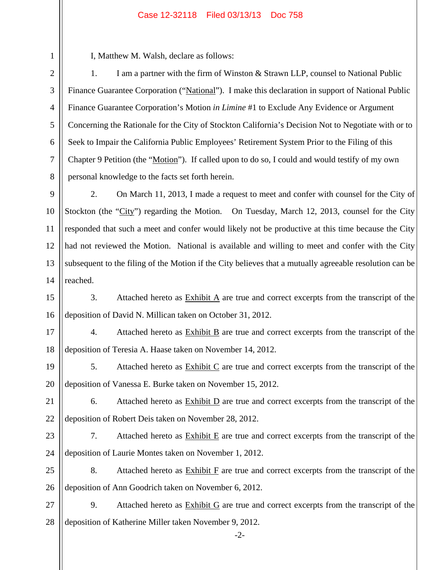## Case 12-32118 Filed 03/13/13 Doc 758

I, Matthew M. Walsh, declare as follows:

1

2

3

4

5

6

7

8

1. I am a partner with the firm of Winston & Strawn LLP, counsel to National Public Finance Guarantee Corporation ("National"). I make this declaration in support of National Public Finance Guarantee Corporation's Motion *in Limine* #1 to Exclude Any Evidence or Argument Concerning the Rationale for the City of Stockton California's Decision Not to Negotiate with or to Seek to Impair the California Public Employees' Retirement System Prior to the Filing of this Chapter 9 Petition (the "Motion"). If called upon to do so, I could and would testify of my own personal knowledge to the facts set forth herein.

9 10 11 12 13 14 2. On March 11, 2013, I made a request to meet and confer with counsel for the City of Stockton (the "City") regarding the Motion. On Tuesday, March 12, 2013, counsel for the City responded that such a meet and confer would likely not be productive at this time because the City had not reviewed the Motion. National is available and willing to meet and confer with the City subsequent to the filing of the Motion if the City believes that a mutually agreeable resolution can be reached.

15 16 3. Attached hereto as Exhibit A are true and correct excerpts from the transcript of the deposition of David N. Millican taken on October 31, 2012.

17 18 4. Attached hereto as Exhibit B are true and correct excerpts from the transcript of the deposition of Teresia A. Haase taken on November 14, 2012.

19 20 5. Attached hereto as  $\frac{Exhibit C}{Ce}$  are true and correct excerpts from the transcript of the deposition of Vanessa E. Burke taken on November 15, 2012.

- 21 22 6. Attached hereto as  $\overline{\text{Exhibit D}}$  are true and correct excerpts from the transcript of the deposition of Robert Deis taken on November 28, 2012.
- 23 24 7. Attached hereto as  $\overline{\text{Exhibit E}}$  are true and correct excerpts from the transcript of the deposition of Laurie Montes taken on November 1, 2012.
- 25 26 8. Attached hereto as  $Exhibit F$  are true and correct excerpts from the transcript of the deposition of Ann Goodrich taken on November 6, 2012.
- 27 28 9. Attached hereto as Exhibit G are true and correct excerpts from the transcript of the deposition of Katherine Miller taken November 9, 2012.